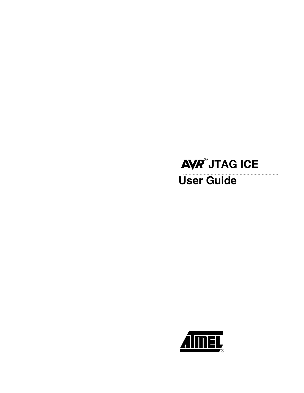

**User Guide** 

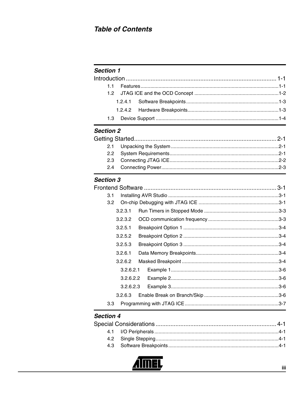### **Table of Contents**

### **Section 1**

### **Section 2**

### **Section 3**

| 3.1              |           |  |  |  |  |
|------------------|-----------|--|--|--|--|
| 3.2              |           |  |  |  |  |
|                  | 3.2.3.1   |  |  |  |  |
|                  | 3.2.3.2   |  |  |  |  |
|                  | 3.2.5.1   |  |  |  |  |
|                  | 3.2.5.2   |  |  |  |  |
|                  |           |  |  |  |  |
|                  |           |  |  |  |  |
| 3.2.6.2          |           |  |  |  |  |
|                  | 3.2.6.2.1 |  |  |  |  |
|                  | 3.2.6.2.2 |  |  |  |  |
|                  | 3.2.6.2.3 |  |  |  |  |
|                  | 3.2.6.3   |  |  |  |  |
| 3.3 <sub>2</sub> |           |  |  |  |  |

## Section 4

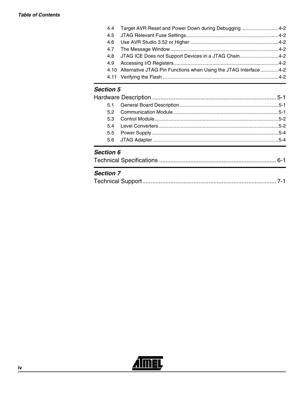### **Table of Contents**

|  | 4.4 Target AVR Reset and Power Down during Debugging4-2               |  |
|--|-----------------------------------------------------------------------|--|
|  |                                                                       |  |
|  |                                                                       |  |
|  |                                                                       |  |
|  | 4.8 JTAG ICE Does not Support Devices in a JTAG Chain4-2              |  |
|  |                                                                       |  |
|  | 4.10 Alternative JTAG Pin Functions when Using the JTAG Interface 4-2 |  |
|  |                                                                       |  |
|  |                                                                       |  |

### **Section 5**

### Section 6

|--|

### **Section 7**

|--|

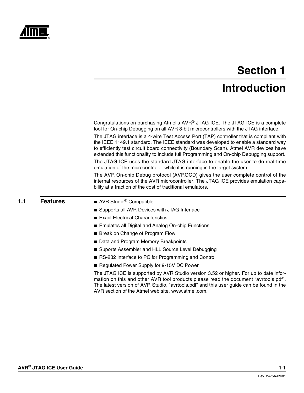

# **Section 1 Introduction**

<span id="page-4-1"></span><span id="page-4-0"></span>Congratulations on purchasing Atmel's AVR® JTAG ICE. The JTAG ICE is a complete tool for On-chip Debugging on all AVR 8-bit microcontrollers with the JTAG interface.

The JTAG interface is a 4-wire Test Access Port (TAP) controller that is compliant with the IEEE 1149.1 standard. The IEEE standard was developed to enable a standard way to efficiently test circuit board connectivity (Boundary Scan). Atmel AVR devices have extended this functionality to include full Programming and On-chip Debugging support.

The JTAG ICE uses the standard JTAG interface to enable the user to do real-time emulation of the microcontroller while it is running in the target system.

The AVR On-chip Debug protocol (AVROCD) gives the user complete control of the internal resources of the AVR microcontroller. The JTAG ICE provides emulation capability at a fraction of the cost of traditional emulators.

- <span id="page-4-2"></span>**1.1 Features Example 2018** AVR Studio<sup>®</sup> Compatible
	- Supports all AVR Devices with JTAG Interface
	- Exact Electrical Characteristics
	- Emulates all Digital and Analog On-chip Functions
	- Break on Change of Program Flow
	- Data and Program Memory Breakpoints
	- Suports Assembler and HLL Source Level Debugging
	- RS-232 Interface to PC for Programming and Control
	- Regulated Power Supply for 9-15V DC Power

The JTAG ICE is supported by AVR Studio version 3.52 or higher. For up to date information on this and other AVR tool products please read the document "avrtools.pdf". The latest version of AVR Studio, "avrtools.pdf" and this user guide can be found in the AVR section of the Atmel web site, www.atmel.com.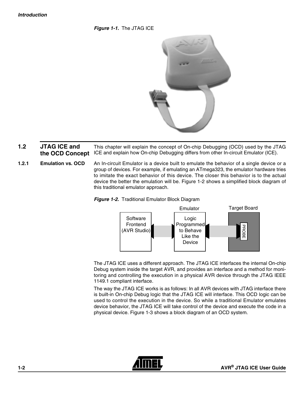*Figure 1-1.* The JTAG ICE



#### <span id="page-5-0"></span>**1.2 JTAG ICE and the OCD Concept** This chapter will explain the concept of On-chip Debugging (OCD) used by the JTAG ICE and explain how On-chip Debugging differs from other In-circuit Emulator (ICE).

**1.2.1 Emulation vs. OCD** An In-circuit Emulator is a device built to emulate the behavior of a single device or a group of devices. For example, if emulating an ATmega323, the emulator hardware tries to imitate the exact behavior of this device. The closer this behavior is to the actual device the better the emulation will be. [Figure 1-2](#page-5-1) shows a simplified block diagram of this traditional emulator approach.

<span id="page-5-1"></span>



The JTAG ICE uses a different approach. The JTAG ICE interfaces the internal On-chip Debug system inside the target AVR, and provides an interface and a method for monitoring and controlling the execution in a physical AVR device through the JTAG IEEE 1149.1 compliant interface.

The way the JTAG ICE works is as follows: In all AVR devices with JTAG interface there is built-in On-chip Debug logic that the JTAG ICE will interface. This OCD logic can be used to control the execution in the device. So while a traditional Emulator emulates device behavior, the JTAG ICE will take control of the device and execute the code in a physical device. [Figure 1-3](#page-6-2) shows a block diagram of an OCD system.

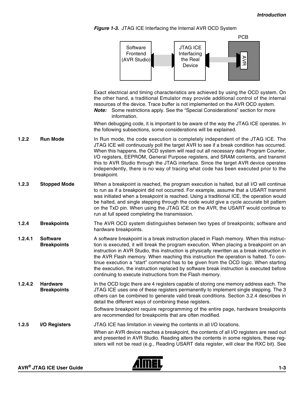<span id="page-6-2"></span>*Figure 1-3.* JTAG ICE Interfacing the Internal AVR OCD System



- **1.2.3 Stopped Mode** When a breakpoint is reached, the program execution is halted, but all I/O will continue to run as if a breakpoint did not occurred. For example, assume that a USART transmit was initiated when a breakpoint is reached. Using a traditional ICE, the operation would be halted, and single stepping through the code would give a cycle accurate bit pattern on the TxD pin. When using the JTAG ICE on the AVR, the USART would continue to run at full speed completing the transmission.
- **1.2.4 Breakpoints** The AVR OCD system distinguishes between two types of breakpoints; software and hardware breakpoints.
- <span id="page-6-0"></span>**1.2.4.1 Software Breakpoints** A software breakpoint is a break instruction placed in Flash memory. When this instruction is executed, it will break the program execution. When placing a breakpoint on an instruction in AVR Studio, this instruction is physically rewritten as a break instruction in the AVR Flash memory. When reaching this instruction the operation is halted. To continue execution a "start" command has to be given from the OCD logic. When starting the execution, the instruction replaced by software break instruction is executed before continuing to execute instructions from the Flash memory.
- <span id="page-6-1"></span>**1.2.4.2 Hardware Breakpoints** In the OCD logic there are 4 registers capable of storing one memory address each. The JTAG ICE uses one of these registers permanently to implement single stepping. The 3 others can be combined to generate valid break conditions. [Section 3.2.4](#page-14-2) describes in detail the different ways of combining these registers.

Software breakpoint require reprogramming of the entire page, hardware breakpoints are recommended for breakpoints that are often modified.

**1.2.5 I/O Registers** JTAG ICE has limitation in viewing the contents in all I/O locations.

When an AVR device reaches a breakpoint, the contents of all I/O registers are read out and presented in AVR Studio. Reading alters the contents in some registers, these registers will not be read (e.g., Reading USART data register, will clear the RXC bit). See

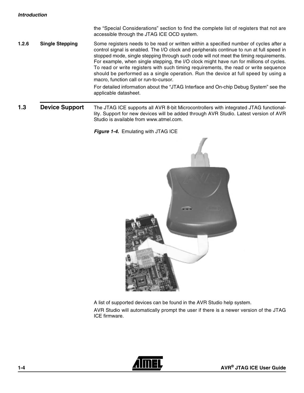the "Special Considerations" section to find the complete list of registers that not are accessible through the JTAG ICE OCD system.

**1.2.6** Single Stepping Some registers needs to be read or written within a specified number of cycles after a control signal is enabled. The I/O clock and peripherals continue to run at full speed in stopped mode, single stepping through such code will not meet the timing requirements. For example, when single stepping, the I/O clock might have run for millions of cycles. To read or write registers with such timing requirements, the read or write sequence should be performed as a single operation. Run the device at full speed by using a macro, function call or run-to-cursor.

For detailed information about the "JTAG Interface and On-chip Debug System" see the applicable datasheet.

### <span id="page-7-0"></span>1.3 Device Support The JTAG ICE supports all AVR 8-bit Microcontrollers with integrated JTAG functionallity. Support for new devices will be added through AVR Studio. Latest version of AVR Studio is available from www.atmel.com.

*Figure 1-4.* Emulating with JTAG ICE



A list of supported devices can be found in the AVR Studio help system.

AVR Studio will automatically prompt the user if there is a newer version of the JTAG ICE firmware.

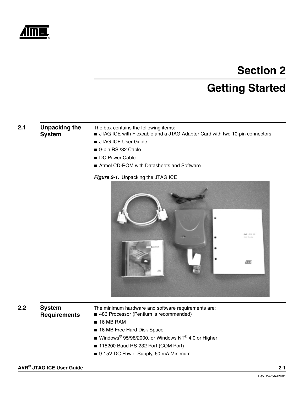

# **Section 2**

# **Getting Started**

### <span id="page-8-2"></span>**2.1 Unpacking the System**

- <span id="page-8-1"></span><span id="page-8-0"></span>The box contains the following items:
	- **JTAG ICE with Flexcable and a JTAG Adapter Card with two 10-pin connectors**
	- **JTAG ICE User Guide**
	- 9-pin RS232 Cable
	- DC Power Cable
	- Atmel CD-ROM with Datasheets and Software

### **Figure 2-1.** Unpacking the JTAG ICE



### <span id="page-8-3"></span>**2.2 System Requirements**

The minimum hardware and software requirements are:

- 486 Processor (Pentium is recommended)
- **16 MB RAM**
- 16 MB Free Hard Disk Space
- Windows<sup>®</sup> 95/98/2000, or Windows NT<sup>®</sup> 4.0 or Higher
- 115200 Baud RS-232 Port (COM Port)
- 9-15V DC Power Supply, 60 mA Minimum.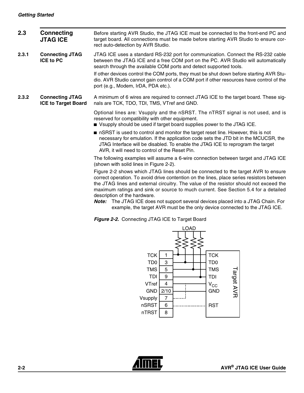<span id="page-9-0"></span>

| 2.3   | <b>Connecting</b><br><b>JTAG ICE</b>                 | Before starting AVR Studio, the JTAG ICE must be connected to the front-end PC and<br>target board. All connections must be made before starting AVR Studio to ensure cor-<br>rect auto-detection by AVR Studio.                            |
|-------|------------------------------------------------------|---------------------------------------------------------------------------------------------------------------------------------------------------------------------------------------------------------------------------------------------|
| 2.3.1 | <b>Connecting JTAG</b><br><b>ICE to PC</b>           | JTAG ICE uses a standard RS-232 port for communication. Connect the RS-232 cable<br>between the JTAG ICE and a free COM port on the PC. AVR Studio will automatically<br>search through the available COM ports and detect supported tools. |
|       |                                                      | If other devices control the COM ports, they must be shut down before starting AVR Stu-<br>dio. AVR Studio cannot gain control of a COM port if other resources have control of the<br>port (e.g., Modem, IrDA, PDA etc.).                  |
| 2.3.2 | <b>Connecting JTAG</b><br><b>ICE to Target Board</b> | A minimum of 6 wires are required to connect JTAG ICE to the target board. These sig-<br>nals are TCK, TDO, TDI, TMS, VTref and GND.                                                                                                        |
|       |                                                      | Optional lines are: Vsupply and the nSRST. The nTRST signal is not used, and is<br>reserved for compatibility with other equipment.<br>■ Vsupply should be used if target board supplies power to the JTAG ICE.                             |
|       |                                                      | nsect is used to control and monitor the target reset line. However, this is not                                                                                                                                                            |

■ nSRST is used to control and monitor the target reset line. However, this is not<br>necessary for emulation. If the application code sets the JTD bit in the MCUCSR, the JTAG Interface will be disabled. To enable the JTAG ICE to reprogram the target AVR, it will need to control of the Reset Pin.

The following examples will assume a 6-wire connection between target and JTAG ICE (shown with solid lines in [Figure 2-2](#page-9-1)).

[Figure 2-2](#page-9-1) shows which JTAG lines should be connected to the target AVR to ensure correct operation. To avoid drive contention on the lines, place series resistors between the JTAG lines and external circuitry. The value of the resistor should not exceed the maximum ratings and sink or source to much current. See [Section 5.4](#page-23-2) for a detailed description of the hardware.

*Note:* The JTAG ICE does not support several devices placed into a JTAG Chain. For example, the target AVR must be the only device connected to the JTAG ICE.

<span id="page-9-1"></span>*Figure 2-2.* Connecting JTAG ICE to Target Board

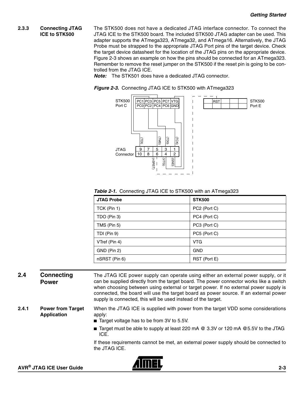#### **2.3.3 Connecting JTAG ICE to STK500**

The STK500 does not have a dedicated JTAG interface connector. To connect the JTAG ICE to the STK500 board. The included STK500 JTAG adapter can be used. This adapter supports the ATmega323, ATmega32, and ATmega16. Alternatively, the JTAG Probe must be strapped to the appropriate JTAG Port pins of the target device. Check the target device datasheet for the location of the JTAG pins on the appropriate device. [Figure 2-3](#page-10-1) shows an example on how the pins should be connected for an ATmega323. Remember to remove the reset jumper on the STK500 if the reset pin is going to be controlled from the JTAG ICE.

*Note:* The STK501 does have a dedicated JTAG connector.

<span id="page-10-1"></span>*Figure 2-3.* Connecting JTAG ICE to STK500 with ATmega323



| Table 2-1. Connecting JTAG ICE to STK500 with an ATmega323 |  |  |
|------------------------------------------------------------|--|--|
|                                                            |  |  |

| <b>JTAG Probe</b> | <b>STK500</b> |
|-------------------|---------------|
| TCK (Pin 1)       | PC2 (Port C)  |
| TDO (Pin 3)       | PC4 (Port C)  |
| TMS (Pin 5)       | PC3 (Port C)  |
| TDI (Pin 9)       | PC5 (Port C)  |
| VTref (Pin 4)     | <b>VTG</b>    |
| GND (Pin 2)       | <b>GND</b>    |
| nSRST (Pin 6)     | RST (Port E)  |

### <span id="page-10-2"></span><span id="page-10-0"></span>**2.4 Connecting Power** The JTAG ICE power supply can operate using either an external power supply, or it

can be supplied directly from the target board. The power connector works like a switch when choosing between using external or target power. If no external power supply is connected, the board will use the target board as power source. If an external power supply is connected, this will be used instead of the target.

#### **2.4.1 Power from Target Application** When the JTAG ICE is supplied with power from the target VDD some considerations apply:

- Target voltage has to be from 3V to 5.5V.
- **Target must be able to supply at least 220 mA @ 3.3V or 120 mA @ 5.5V to the JTAG** ICE.

If these requirements cannot be met, an external power supply should be connected to the JTAG ICE.

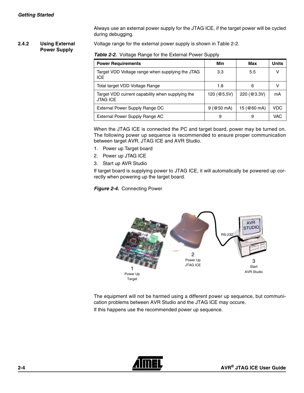Always use an external power supply for the JTAG ICE, if the target power will be cycled during debugging.

#### **2.4.2 Using External Power Supply**

Voltage range for the external power supply is shown in [Table 2-2.](#page-11-0)

<span id="page-11-0"></span>

|  |  |  |  |  | <b>Table 2-2.</b> Voltage Range for the External Power Supply |
|--|--|--|--|--|---------------------------------------------------------------|
|--|--|--|--|--|---------------------------------------------------------------|

| <b>Power Requirements</b>                                           | Min         | Max         | <b>Units</b> |
|---------------------------------------------------------------------|-------------|-------------|--------------|
| Target VDD Voltage range when supplying the JTAG<br><b>ICE</b>      | 3.3         | 5.5         | v            |
| Total target VDD Voltage Range                                      | 1.8         | 6           | v            |
| Target VDD current capability when supplying the<br><b>JTAG ICE</b> | 120 (@5.5V) | 220 (@3.3V) | mA           |
| External Power Supply Range DC                                      | 9 (@50 mA)  | 15 (@60 mA) | VDC          |
| External Power Supply Range AC                                      | 9           | 9           | <b>VAC</b>   |

When the JTAG ICE is connected the PC and target board, power may be turned on. The following power up sequence is recommended to ensure proper communication between target AVR, JTAG ICE and AVR Studio.

- 1. Power up Target board
- 2. Power up JTAG ICE
- 3. Start up AVR Studio

If target board is supplying power to JTAG ICE, it will automatically be powered up correctly when powering up the target board.

**Figure 2-4. Connecting Power** 



The equipment will not be harmed using a different power up sequence, but communication problems between AVR Studio and the JTAG ICE may occure.

If this happens use the recommended power up sequence.

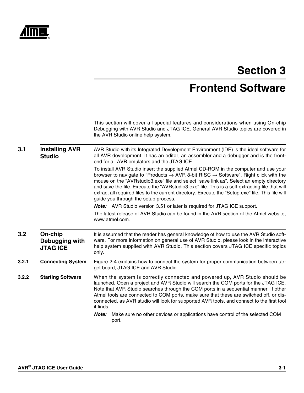

# <span id="page-12-4"></span>**Section 3**

## **Frontend Software**

<span id="page-12-1"></span><span id="page-12-0"></span>This section will cover all special features and considerations when using On-chip Debugging with AVR Studio and JTAG ICE. General AVR Studio topics are covered in the AVR Studio online help system.

#### <span id="page-12-3"></span><span id="page-12-2"></span>**3.1 Installing AVR Studio** AVR Studio with its Integrated Development Environment (IDE) is the ideal software for all AVR development. It has an editor, an assembler and a debugger and is the frontend for all AVR emulators and the JTAG ICE. To install AVR Studio insert the supplied Atmel CD-ROM in the computer and use your browser to navigate to "Products  $\rightarrow$  AVR 8-bit RISC  $\rightarrow$  Software". Right click with the mouse on the "AVRstudio3.exe" file and select "save link as". Select an empty directory and save the file. Execute the "AVRstudio3.exe" file. This is a self-extracting file that will extract all required files to the current directory. Execute the "Setup.exe" file. This file will guide you through the setup process. *Note:* AVR Studio version 3.51 or later is required for JTAG ICE support. The latest release of AVR Studio can be found in the AVR section of the Atmel website, www.atmel.com. **3.2 On-chip Debugging with JTAG ICE** It is assumed that the reader has general knowledge of how to use the AVR Studio software. For more information on general use of AVR Studio, please look in the interactive help system supplied with AVR Studio. This section covers JTAG ICE specific topics only. **3.2.1 Connecting System** Figure 2-4 explains how to connect the system for proper communication between target board, JTAG ICE and AVR Studio. **3.2.2 Starting Software** When the system is correctly connected and powered up, AVR Studio should be launched. Open a project and AVR Studio will search the COM ports for the JTAG ICE. Note that AVR Studio searches through the COM ports in a sequential manner. If other Atmel tools are connected to COM ports, make sure that these are switched off, or disconnected, as AVR studio will look for supported AVR tools, and connect to the first tool it finds. *Note:* Make sure no other devices or applications have control of the selected COM port.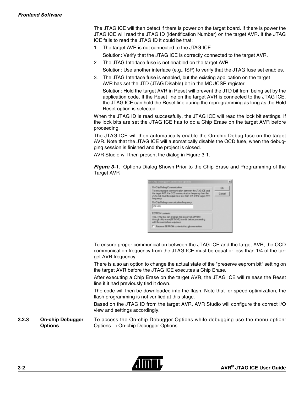The JTAG ICE will then detect if there is power on the target board. If there is power the JTAG ICE will read the JTAG ID (Identification Number) on the target AVR. If the JTAG ICE fails to read the JTAG ID it could be that:

- 1. The target AVR is not connected to the JTAG ICE.
	- Solution: Verify that the JTAG ICE is correctly connected to the target AVR.
- 2. The JTAG Interface fuse is not enabled on the target AVR.

Solution: Use another interface (e.g., ISP) to verify that the JTAG fuse set enables.

3. The JTAG Interface fuse is enabled, but the existing application on the target AVR has set the JTD (JTAG Disable) bit in the MCUCSR register.

Solution: Hold the target AVR in Reset will prevent the JTD bit from being set by the application code. If the Reset line on the target AVR is connected to the JTAG ICE, the JTAG ICE can hold the Reset line during the reprogramming as long as the Hold Reset option is selected.

When the JTAG ID is read successfully, the JTAG ICE will read the lock bit settings. If the lock bits are set the JTAG ICE has to do a Chip Erase on the target AVR before proceeding.

The JTAG ICE will then automatically enable the On-chip Debug fuse on the target AVR. Note that the JTAG ICE will automatically disable the OCD fuse, when the debugging session is finished and the project is closed.

AVR Studio will then present the dialog in [Figure 3-1.](#page-13-0)

<span id="page-13-0"></span>*Figure 3-1.* Options Dialog Shown Prior to the Chip Erase and Programming of the Target AVR



To ensure proper communication between the JTAG ICE and the target AVR, the OCD communication frequency from the JTAG ICE must be equal or less than 1/4 of the target AVR frequency.

There is also an option to change the actual state of the "preserve eeprom bit" setting on the target AVR before the JTAG ICE executes a Chip Erase.

After executing a Chip Erase on the target AVR, the JTAG ICE will release the Reset line if it had previously tied it down.

The code will then be downloaded into the flash. Note that for speed optimization, the flash programming is not verified at this stage.

Based on the JTAG ID from the target AVR, AVR Studio will configure the correct I/O view and settings accordingly.

**3.2.3 On-chip Debugger Options** To access the On-chip Debugger Options while debugging use the menu option: Options  $\rightarrow$  On-chip Debugger Options.

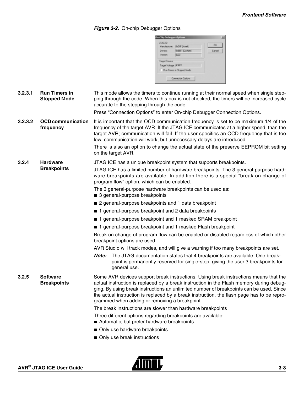#### *Figure 3-2.* On-chip Debugger Options

| JTAG ID<br>Manufacturer | <b>Built F (Jones)</b>       | OK.    |
|-------------------------|------------------------------|--------|
| Device:                 | <b>Dr.Will [Custom]</b>      | Carcel |
| <b>Vanish</b>           | 0-00                         |        |
| - Target Device         |                              |        |
| Taget Voltage: ASKV     |                              |        |
|                         | F Bue Timors in Stopped Mode |        |

<span id="page-14-0"></span>**3.2.3.1 Run Timers in Stopped Mode** This mode allows the timers to continue running at their normal speed when single stepping through the code. When this box is not checked, the timers will be increased cycle accurate to the stepping through the code.

Press "Connection Options" to enter On-chip Debugger Connection Options.

<span id="page-14-1"></span>**3.2.3.2 OCD communication frequency** It is important that the OCD communication frequency is set to be maximum 1/4 of the frequency of the target AVR. If the JTAG ICE communicates at a higher speed, than the target AVR; communication will fail. If the user specifies an OCD frequency that is too low, communication will work, but unnecessary delays are introduced.

> There is also an option to change the actual state of the preserve EEPROM bit setting on the target AVR.

<span id="page-14-2"></span>**3.2.4 Hardware Breakpoints** JTAG ICE has a unique breakpoint system that supports breakpoints.

JTAG ICE has a limited number of hardware breakpoints. The 3 general-purpose hardware breakpoints are available. In addition there is a special "break on change of program flow" option, which can be enabled.

The 3 general-purpose hardware breakpoints can be used as:

- 3 general-purpose breakpoints
- 2 general-purpose breakpoints and 1 data breakpoint
- 1 general-purpose breakpoint and 2 data breakpoints
- 1 general-purpose breakpoint and 1 masked SRAM breakpoint
- 1 general-purpose breakpoint and 1 masked Flash breakpoint

Break on change of program flow can be enabled or disabled regardless of which other breakpoint options are used.

AVR Studio will track modes, and will give a warning if too many breakpoints are set.

*Note:* The JTAG documentation states that 4 breakpoints are available. One breakpoint is permanently reserved for single-step, giving the user 3 breakpoints for general use.

**3.2.5 Software Breakpoints** Some AVR devices support break instructions. Using break instructions means that the actual instruction is replaced by a break instruction in the Flash memory during debugging. By using break instructions an unlimited number of breakpoints can be used. Since the actual instruction is replaced by a break instruction, the flash page has to be reprogrammed when adding or removing a breakpoint.

The break instructions are slower than hardware breakpoints

Three different options regarding breakpoints are available:

- Automatic, but prefer hardware breakpoints
- Only use hardware breakpoints
- Only use break instructions

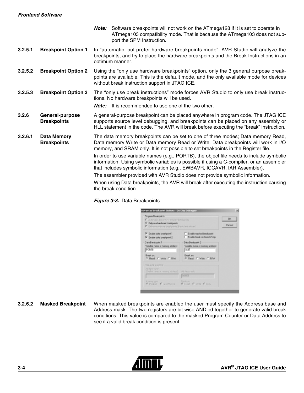- *Note:* Software breakpoints will not work on the ATmega128 if it is set to operate in ATmega103 compatibility mode. That is because the ATmega103 does not support the SPM Instruction.
- <span id="page-15-0"></span>**3.2.5.1 Breakpoint Option 1** In "automatic, but prefer hardware breakpoints mode", AVR Studio will analyze the breakpoints, and try to place the hardware breakpoints and the Break Instructions in an optimum manner.
- <span id="page-15-1"></span>**3.2.5.2 Breakpoint Option 2** Using the "only use hardware breakpoints" option, only the 3 general purpose breakpoints are available. This is the default mode, and the only available mode for devices without break instruction support in JTAG ICE.
- <span id="page-15-2"></span>**3.2.5.3 Breakpoint Option 3** The "only use break instructions" mode forces AVR Studio to only use break instructions. No hardware breakpoints will be used.

*Note:* It is recommended to use one of the two other.

- **3.2.6 General-purpose Breakpoints** A general-purpose breakpoint can be placed anywhere in program code. The JTAG ICE supports source level debugging, and breakpoints can be placed on any assembly or HLL statement in the code. The AVR will break before executing the "break" instruction.
- <span id="page-15-3"></span>**3.2.6.1 Data Memory Breakpoints** The data memory breakpoints can be set to one of three modes; Data memory Read, Data memory Write or Data memory Read or Write. Data breakpoints will work in I/O memory, and SRAM only. It is not possible to set breakpoints in the Register file.

In order to use variable names (e.g., PORTB), the object file needs to include symbolic information. Using symbolic variables is possible if using a C-compiler, or an assembler that includes symbolic information (e.g., EWBAVR, ICCAVR, IAR Assembler).

The assembler provided with AVR Studio does not provide symbolic information.

When using Data breakpoints, the AVR will break after executing the instruction causing the break condition.

#### *Figure 3-3.* Data Breakpoints

| : Program Breakpoints<br>C. Automatic. In a pretent ancience breakanists.<br><sup>(ii)</sup> Exip use hardware breakpoints<br>F. Only use solivoir broakparts Expli Introduced |                                                                      | DE.<br>Cancel |
|--------------------------------------------------------------------------------------------------------------------------------------------------------------------------------|----------------------------------------------------------------------|---------------|
| F Enable data breakpoint 1<br>E. Enable data breakpoint 2                                                                                                                      | E Enable masked breakpoint<br>Einable break on branch/skip           |               |
| <b>Uato Breakpoint 1</b><br>Variable name at memory address:<br>PORTE                                                                                                          | Data Broakpaint 2<br>Variable name or memory address:<br><b>BLOF</b> |               |
| Break on:<br>IF Read IT With C R/W                                                                                                                                             | <b>Beach</b> are<br><b><i>P. Bast C. Wile C. BAV</i></b>             |               |
| Mad-ad E wakpolet-<br><b>Addumburg</b><br>[Systol name ar memory address]                                                                                                      | Address mask<br><b>CACCOON</b>                                       |               |
| Memory here.<br><b>IF Ployant IT STANDOLL</b>                                                                                                                                  | <b>Elevatore</b><br>商用ud 商业的 商用AV                                    |               |

<span id="page-15-4"></span>**3.2.6.2 Masked Breakpoint** When masked breakpoints are enabled the user must specify the Address base and Address mask. The two registers are bit wise AND'ed together to generate valid break conditions. This value is compared to the masked Program Counter or Data Address to see if a valid break condition is present.

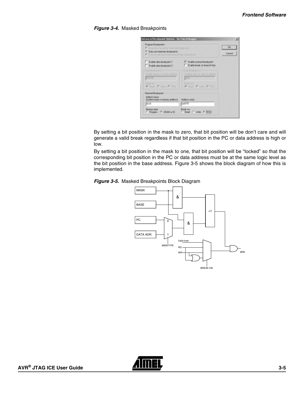#### *Figure 3-4.* Masked Breakpoints

| Program Eteakpoints<br>C. Array etc. but pelecked use beeiguists.                      |                                                                      | DK     |
|----------------------------------------------------------------------------------------|----------------------------------------------------------------------|--------|
| (F) Gray use hardware breakprism.<br>E. Universe reforms banduports Datable stockers L |                                                                      | Cancel |
| <b>F</b> Enable data breakpoint T<br>El Enable data treat-paint 2                      | F English marked breakpoint<br>Enable break on branch/skip           |        |
| m Dote Simskapent 1 -<br>Variable numities are more and term<br>PORTS                  | Date Breakager (2)<br>Karisbie namn ar memory addittor<br><b>DOS</b> |        |
| Florida ses<br><b>R</b> First Clarke C FAX                                             | <b>Breek</b> cer<br><b>R</b> Ford Classic Clinton                    |        |
| Masked Breakpoint                                                                      |                                                                      |        |
| Address bane<br>Eyedol sana or nessay address)                                         | Address made:                                                        |        |
| <b>Dati</b>                                                                            | 医环环                                                                  |        |
| Memory type:<br>IT Program IT SRAM or ID                                               | <b>Breidt</b> , and<br><b>Finand</b><br><b>CANAL PERMIT</b>          |        |

By setting a bit position in the mask to zero, that bit position will be don't care and will generate a valid break regardless if that bit position in the PC or data address is high or low.

By setting a bit position in the mask to one, that bit position will be "locked" so that the corresponding bit position in the PC or data address must be at the same logic level as the bit position in the base address. [Figure 3-5](#page-16-0) shows the block diagram of how this is implemented.

<span id="page-16-0"></span>

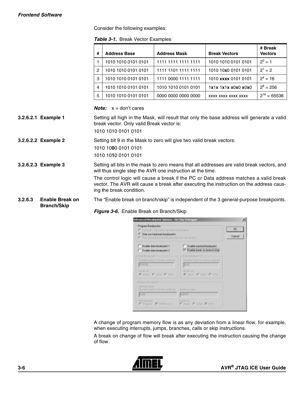Consider the following examples:

*Table 3-1.* Break Vector Examples

| # | <b>Address Base</b> | <b>Address Mask</b> | <b>Break Vectors</b>        | # Break<br><b>Vectors</b> |
|---|---------------------|---------------------|-----------------------------|---------------------------|
|   | 1010 1010 0101 0101 | 1111 1111 1111 1111 | 1010 1010 0101 0101         | $2^0 = 1$                 |
| 2 | 1010 1010 0101 0101 | 1111 1101 1111 1111 | 1010 10x0 0101 0101         | $2^1$ = 2                 |
| 3 | 1010 1010 0101 0101 | 1111 0000 1111 1111 | 1010 xxxx 0101 0101         | $2^4$ = 16                |
| 4 | 1010 1010 0101 0101 | 1010 1010 0101 0101 | $1x1x$ $1x1x$ $x0x0$ $x0x0$ | $2^8 = 256$               |
| 5 | 1010 1010 0101 0101 | 0000 0000 0000 0000 | XXXX XXXX XXXX XXXX         | $2^{16} = 65536$          |

| <b>Note:</b> $x =$ don't cares |  |  |
|--------------------------------|--|--|
|--------------------------------|--|--|

<span id="page-17-0"></span>**3.2.6.2.1 Example 1** Setting all high in the Mask, will result that only the base address will generate a valid break vector. Only valid Break vector is: 1010 1010 0101 0101

<span id="page-17-1"></span>**3.2.6.2.2 Example 2** Setting bit 9 in the Mask to zero will give two valid break vectors: 1010 10**0**0 0101 0101 1010 10**1**0 0101 0101

<span id="page-17-2"></span>**3.2.6.2.3 Example 3** Setting all bits in the mask to zero means that all addresses are valid break vectors, and will thus single step the AVR one instruction at the time.

> The control logic will cause a break if the PC or Data address matches a valid break vector. The AVR will cause a break after executing the instruction on the address causing the break condition.

> The "Enable break on branch/skip" is independent of the 3 general-purpose breakpoints.

#### <span id="page-17-3"></span>**3.2.6.3 Enable Break on Branch/Skip**

#### *Figure 3-6.* Enable Break on Branch/Skip



A change of program memory flow is as any deviation from a linear flow, for example, when executing interrupts, jumps, branches, calls or skip instructions.

A break on change of flow will break after executing the instruction causing the change of flow.

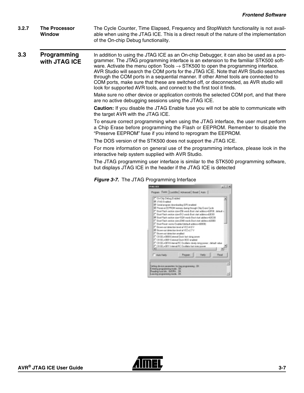<span id="page-18-0"></span>

| 3.2.7 | <b>The Processor</b><br><b>Window</b> | The Cycle Counter, Time Elapsed, Frequency and StopWatch functionality is not avail-<br>able when using the JTAG ICE. This is a direct result of the nature of the implementation<br>of the On-chip Debug functionality.                                                                                                                                                                                                                                                                                                                                                                                                         |  |  |
|-------|---------------------------------------|----------------------------------------------------------------------------------------------------------------------------------------------------------------------------------------------------------------------------------------------------------------------------------------------------------------------------------------------------------------------------------------------------------------------------------------------------------------------------------------------------------------------------------------------------------------------------------------------------------------------------------|--|--|
| 3.3   | Programming<br>with JTAG ICE          | In addition to using the JTAG ICE as an On-chip Debugger, it can also be used as a pro-<br>grammer. The JTAG programming interface is an extension to the familiar STK500 soft-<br>ware. Activate the menu option Tools $\rightarrow$ STK500 to open the programming interface.<br>AVR Studio will search the COM ports for the JTAG ICE. Note that AVR Studio searches<br>through the COM ports in a sequential manner. If other Atmel tools are connected to<br>COM ports, make sure that these are switched off, or disconnected, as AVR studio will<br>look for supported AVR tools, and connect to the first tool it finds. |  |  |
|       |                                       | Make sure no other device or application controls the selected COM port, and that there<br>are no active debugging sessions using the JTAG ICE.                                                                                                                                                                                                                                                                                                                                                                                                                                                                                  |  |  |
|       |                                       | <b>Caution:</b> If you disable the JTAG Enable fuse you will not be able to communicate with<br>the target AVR with the JTAG ICE.                                                                                                                                                                                                                                                                                                                                                                                                                                                                                                |  |  |
|       |                                       | To ensure correct programming when using the JTAG interface, the user must perform<br>a Chip Erase before programming the Flash or EEPROM. Remember to disable the<br>"Preserve EEPROM" fuse if you intend to reprogram the EEPROM.                                                                                                                                                                                                                                                                                                                                                                                              |  |  |
|       |                                       | The DOS version of the STK500 does not support the JTAG ICE.                                                                                                                                                                                                                                                                                                                                                                                                                                                                                                                                                                     |  |  |
|       |                                       | For more information on general use of the programming interface, please look in the<br>interactive help system supplied with AVR Studio.                                                                                                                                                                                                                                                                                                                                                                                                                                                                                        |  |  |
|       |                                       | The JTAG programming user interface is similar to the STK500 programming software,<br>but displays JTAG ICE in the header if the JTAG ICE is detected                                                                                                                                                                                                                                                                                                                                                                                                                                                                            |  |  |
|       |                                       | $Eiaure 2.7$ The $ITAC$ Drearamming Interface                                                                                                                                                                                                                                                                                                                                                                                                                                                                                                                                                                                    |  |  |

**Figure 3-7.** The JTAG Programming Interface

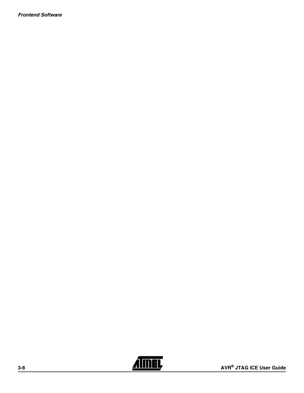*Frontend Software*

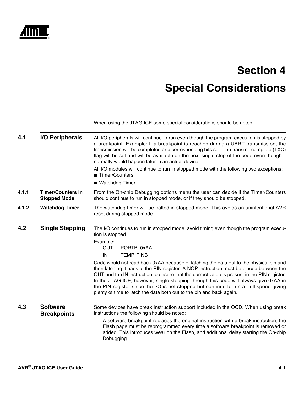

# **Section 4**

# **Special Considerations**

<span id="page-20-1"></span><span id="page-20-0"></span>When using the JTAG ICE some special considerations should be noted.

<span id="page-20-4"></span><span id="page-20-3"></span><span id="page-20-2"></span>

| 4.1   | I/O Peripherals                       | All I/O peripherals will continue to run even though the program execution is stopped by<br>a breakpoint. Example: If a breakpoint is reached during a UART transmission, the<br>transmission will be completed and corresponding bits set. The transmit complete (TXC)<br>flag will be set and will be available on the next single step of the code even though it<br>normally would happen later in an actual device.<br>All I/O modules will continue to run in stopped mode with the following two exceptions:<br>■ Timer/Counters<br>■ Watchdog Timer                                                                                                                                                                 |  |
|-------|---------------------------------------|-----------------------------------------------------------------------------------------------------------------------------------------------------------------------------------------------------------------------------------------------------------------------------------------------------------------------------------------------------------------------------------------------------------------------------------------------------------------------------------------------------------------------------------------------------------------------------------------------------------------------------------------------------------------------------------------------------------------------------|--|
| 4.1.1 | <b>Timer/Counters in</b>              | From the On-chip Debugging options menu the user can decide if the Timer/Counters                                                                                                                                                                                                                                                                                                                                                                                                                                                                                                                                                                                                                                           |  |
|       | <b>Stopped Mode</b>                   | should continue to run in stopped mode, or if they should be stopped.                                                                                                                                                                                                                                                                                                                                                                                                                                                                                                                                                                                                                                                       |  |
| 4.1.2 | <b>Watchdog Timer</b>                 | The watchdog timer will be halted in stopped mode. This avoids an unintentional AVR<br>reset during stopped mode.                                                                                                                                                                                                                                                                                                                                                                                                                                                                                                                                                                                                           |  |
| 4.2   | <b>Single Stepping</b>                | The I/O continues to run in stopped mode, avoid timing even though the program execu-<br>tion is stopped.<br>Example:<br><b>OUT</b><br>PORTB, 0xAA<br>IN<br><b>TEMP, PINB</b><br>Code would not read back 0xAA because of latching the data out to the physical pin and<br>then latching it back to the PIN register. A NOP instruction must be placed between the<br>OUT and the IN instruction to ensure that the correct value is present in the PIN register.<br>In the JTAG ICE, however, single stepping through this code will always give 0xAA in<br>the PIN register since the I/O is not stopped but continue to run at full speed giving<br>plenty of time to latch the data both out to the pin and back again. |  |
| 4.3   | <b>Software</b><br><b>Breakpoints</b> | Some devices have break instruction support included in the OCD. When using break<br>instructions the following should be noted:<br>A software breakpoint replaces the original instruction with a break instruction, the<br>Flash page must be reprogrammed every time a software breakpoint is removed or<br>added. This introduces wear on the Flash, and additional delay starting the On-chip<br>Debugging.                                                                                                                                                                                                                                                                                                            |  |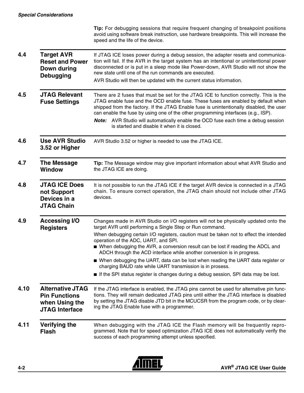**Tip:** For debugging sessions that require frequent changing of breakpoint positions avoid using software break instruction, use hardware breakpoints. This will increase the speed and the life of the device.

<span id="page-21-5"></span><span id="page-21-4"></span><span id="page-21-3"></span><span id="page-21-2"></span><span id="page-21-1"></span><span id="page-21-0"></span>**4.4 Target AVR Reset and Power Down during Debugging** If JTAG ICE loses power during a debug session, the adapter resets and communication will fail. If the AVR in the target system has an intentional or unintentional power disconnected or is put in a sleep mode like Power-down, AVR Studio will not show the new state until one of the run commands are executed. AVR Studio will then be updated with the current status information. **4.5 JTAG Relevant Fuse Settings** There are 2 fuses that must be set for the JTAG ICE to function correctly. This is the JTAG enable fuse and the OCD enable fuse. These fuses are enabled by default when shipped from the factory. If the JTAG Enable fuse is unintentionally disabled, the user can enable the fuse by using one of the other programming interfaces (e.g., ISP). *Note:* AVR Studio will automatically enable the OCD fuse each time a debug session is started and disable it when it is closed. **4.6 Use AVR Studio 3.52 or Higher** AVR Studio 3.52 or higher is needed to use the JTAG ICE. **4.7 The Message Window Tip:** The Message window may give important information about what AVR Studio and the JTAG ICE are doing. **4.8 JTAG ICE Does not Support Devices in a JTAG Chain** It is not possible to run the JTAG ICE if the target AVR device is connected in a JTAG chain. To ensure correct operation, the JTAG chain should not include other JTAG devices. **4.9 Accessing I/O Registers** Changes made in AVR Studio on I/O registers will not be physically updated onto the target AVR until performing a Single Step or Run command. When debugging certain I/O registers, caution must be taken not to effect the intended operation of the ADC, UART, and SPI. When debugging the AVR, a conversion result can be lost if reading the ADCL and ADCH through the ACD interface while another conversion is in progress. When debugging the UART, data can be lost when reading the UART data register or charging BAUD rate while UART transmission is in prosess. ■ If the SPI status register is changes during a debug session, SPI data may be lost. **4.10 Alternative JTAG Pin Functions when Using the JTAG Interface** If the JTAG interface is enabled, the JTAG pins cannot be used for alternative pin functions. They will remain dedicated JTAG pins until either the JTAG interface is disabled by setting the JTAG disable JTD bit in the MCUCSR from the program code, or by clearing the JTAG Enable fuse with a programmer. **4.11 Verifying the Flash** When debugging with the JTAG ICE the Flash memory will be frequently reprogrammed. Note that for speed optimization JTAG ICE does not automatically verify the success of each programming attempt unless specified.

<span id="page-21-7"></span><span id="page-21-6"></span>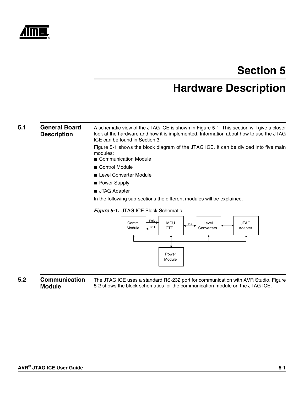

# **Section 5**

## **Hardware Description**

### <span id="page-22-2"></span>**5.1 General Board Description**

<span id="page-22-1"></span><span id="page-22-0"></span>A schematic view of the JTAG ICE is shown in [Figure 5-1.](#page-22-4) This section will give a closer look at the hardware and how it is implemented. Information about how to use the JTAG ICE can be found in [Section 3](#page-12-4).

[Figure 5-1](#page-22-4) shows the block diagram of the JTAG ICE. It can be divided into five main modules:

- Communication Module
- Control Module
- **Level Converter Module**
- **Power Supply**
- **JTAG Adapter**

In the following sub-sections the different modules will be explained.

#### <span id="page-22-4"></span>*Figure 5-1.* JTAG ICE Block Schematic



<span id="page-22-3"></span>**5.2 Communication Module** The JTAG ICE uses a standard RS-232 port for communication with AVR Studio. [Figure](#page-23-3) [5-2](#page-23-3) shows the block schematics for the communication module on the JTAG ICE.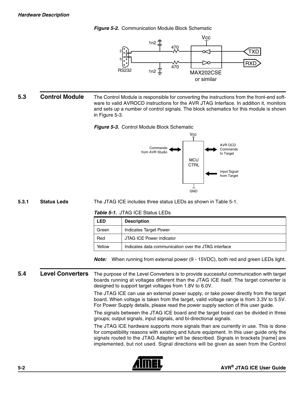<span id="page-23-3"></span>*Figure 5-2.* Communication Module Block Schematic



#### <span id="page-23-0"></span>**5.3** Control Module The Control Module is responsible for converting the instructions from the front-end software to valid AVROCD instructions for the AVR JTAG Interface. In addition it, monitors and sets up a number of control signals. The block schematics for this module is shown in [Figure 5-3](#page-23-4).

<span id="page-23-4"></span>*Figure 5-3.* Control Module Block Schematic



**5.3.1 Status Leds** The JTAG ICE includes three status LEDs as shown in [Table 5-1](#page-23-5).

#### <span id="page-23-5"></span>*Table 5-1.* JTAG ICE Status LEDs

| LED    | <b>Description</b>                                   |
|--------|------------------------------------------------------|
| Green  | <b>Indicates Target Power</b>                        |
| Red    | JTAG ICE Power indicator                             |
| Yellow | Indicates data communication over the JTAG interface |

*Note:* When running from external power (9 - 15VDC), both red and green LEDs light.

<span id="page-23-2"></span><span id="page-23-1"></span>**5.4 Level Converters** The purpose of the Level Converters is to provide successful communication with target boards running at voltages different than the JTAG ICE itself. The target converter is designed to support target voltages from 1.8V to 6.0V.

> The JTAG ICE can use an external power supply, or take power directly from the target board. When voltage is taken from the target, valid voltage range is from 3.3V to 5.5V. For Power Supply details, please read the power supply section of this user guide.

> The signals between the JTAG ICE board and the target board can be divided in three groups; output signals, input signals, and bi-directional signals.

> The JTAG ICE hardware supports more signals than are currently in use. This is done for compatibility reasons with existing and future equipment. In this user guide only the signals routed to the JTAG Adapter will be described. Signals in brackets [name] are implemented, but not used. Signal directions will be given as seen from the Control

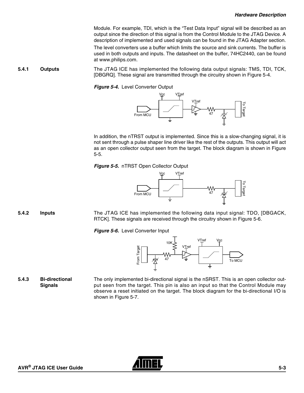Module. For example, TDI, which is the "Test Data Input" signal will be described as an output since the direction of this signal is from the Control Module to the JTAG Device. A description of implemented and used signals can be found in the JTAG Adapter section.

The level converters use a buffer which limits the source and sink currents. The buffer is used in both outputs and inputs. The datasheet on the buffer, 74HC2440, can be found at www.philips.com.

**5.4.1 Outputs** The JTAG ICE has implemented the following data output signals: TMS, TDI, TCK, [DBGRQ]. These signal are transmitted through the circuitry shown in [Figure 5-4.](#page-24-0)

<span id="page-24-0"></span>*Figure 5-4.* Level Converter Output



In addition, the nTRST output is implemented. Since this is a slow-changing signal, it is not sent through a pulse shaper line driver like the rest of the outputs. This output will act as an open collector output seen from the target. The block diagram is shown in [Figure](#page-24-1) [5-5](#page-24-1).

<span id="page-24-1"></span>*Figure 5-5.* nTRST Open Collector Output



**5.4.2 Inputs** The JTAG ICE has implemented the following data input signal: TDO, [DBGACK, RTCK]. These signals are received through the circuitry shown in [Figure 5-6](#page-24-2).

<span id="page-24-2"></span>*Figure 5-6.* Level Converter Input



**5.4.3 Bi-directional Signals** The only implemented bi-directional signal is the nSRST. This is an open collector output seen from the target. This pin is also an input so that the Control Module may observe a reset initiated on the target. The block diagram for the bi-directional I/O is shown in [Figure 5-7.](#page-25-2)

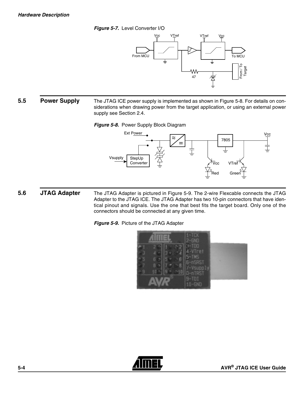<span id="page-25-2"></span>*Figure 5-7.* Level Converter I/O



<span id="page-25-0"></span>**5.5** Power Supply The JTAG ICE power supply is implemented as shown in [Figure 5-8](#page-25-3). For details on considerations when drawing power from the target application, or using an external power supply see [Section 2.4.](#page-10-2)

<span id="page-25-3"></span>



<span id="page-25-1"></span>**5.6 JTAG Adapter** The JTAG Adapter is pictured in [Figure 5-9](#page-25-4). The 2-wire Flexcable connects the JTAG Adapter to the JTAG ICE. The JTAG Adapter has two 10-pin connectors that have identical pinout and signals. Use the one that best fits the target board. Only one of the connectors should be connected at any given time.

<span id="page-25-4"></span>*Figure 5-9.* Picture of the JTAG Adapter



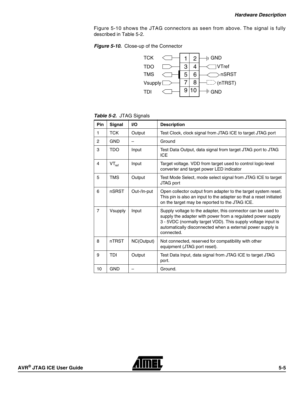[Figure 5-10](#page-26-0) shows the JTAG connectors as seen from above. The signal is fully described in [Table 5-2.](#page-26-1)

<span id="page-26-0"></span>



<span id="page-26-1"></span>

| Pin            | <b>Signal</b> | <b>I/O</b>  | <b>Description</b>                                                                                                                                                                                                                                                      |
|----------------|---------------|-------------|-------------------------------------------------------------------------------------------------------------------------------------------------------------------------------------------------------------------------------------------------------------------------|
| 1              | <b>TCK</b>    | Output      | Test Clock, clock signal from JTAG ICE to target JTAG port                                                                                                                                                                                                              |
| $\overline{2}$ | <b>GND</b>    |             | Ground                                                                                                                                                                                                                                                                  |
| 3              | <b>TDO</b>    | Input       | Test Data Output, data signal from target JTAG port to JTAG<br><b>ICE</b>                                                                                                                                                                                               |
| 4              | $VT_{ref}$    | Input       | Target voltage. VDD from target used to control logic-level<br>converter and target power LED indicator                                                                                                                                                                 |
| 5              | <b>TMS</b>    | Output      | Test Mode Select, mode select signal from JTAG ICE to target<br>JTAG port                                                                                                                                                                                               |
| 6              | nSRST         | Out-/In-put | Open collector output from adapter to the target system reset.<br>This pin is also an input to the adapter so that a reset initiated<br>on the target may be reported to the JTAG ICE.                                                                                  |
| $\overline{7}$ | Vsupply       | Input       | Supply voltage to the adapter, this connector can be used to<br>supply the adapter with power from a regulated power supply<br>3 - 5VDC (normally target VDD). This supply voltage input is<br>automatically disconnected when a external power supply is<br>connected. |
| 8              | nTRST         | NC(Output)  | Not connected, reserved for compatibility with other<br>equipment (JTAG port reset).                                                                                                                                                                                    |
| 9              | <b>TDI</b>    | Output      | Test Data Input, data signal from JTAG ICE to target JTAG<br>port.                                                                                                                                                                                                      |
| 10             | <b>GND</b>    |             | Ground.                                                                                                                                                                                                                                                                 |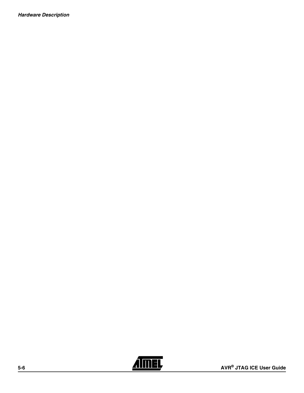*Hardware Description*

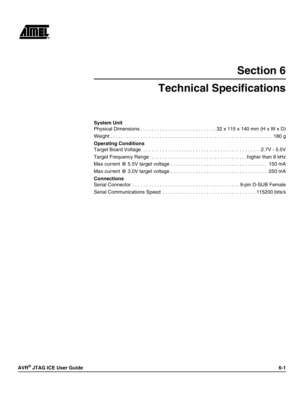

# **Section 6**

# **Technical Specifications**

<span id="page-28-1"></span><span id="page-28-0"></span>

| <b>System Unit</b>          |  |
|-----------------------------|--|
|                             |  |
|                             |  |
| <b>Operating Conditions</b> |  |
|                             |  |
|                             |  |
|                             |  |
|                             |  |
| <b>Connections</b>          |  |
|                             |  |
|                             |  |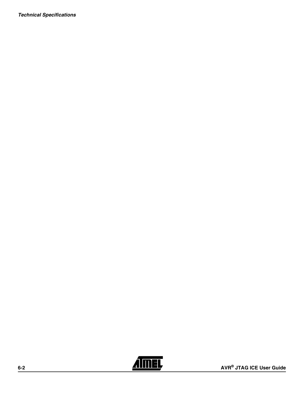*Technical Specifications*

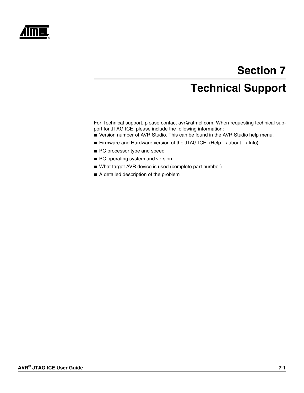

# **Section 7**

# **Technical Support**

<span id="page-30-1"></span><span id="page-30-0"></span>For Technical support, please contact avr@atmel.com. When requesting technical support for JTAG ICE, please include the following information:

- Version number of AVR Studio. This can be found in the AVR Studio help menu.
- **Firmware and Hardware version of the JTAG ICE. (Help**  $\rightarrow$  **about**  $\rightarrow$  **Info)**
- PC processor type and speed
- **PC** operating system and version
- What target AVR device is used (complete part number)
- A detailed description of the problem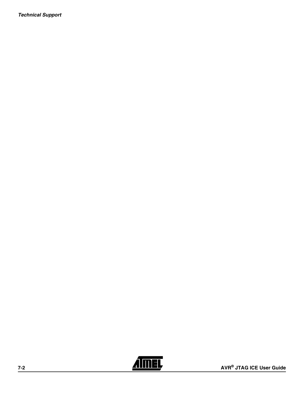*Technical Support*

**AVEL AVR®** JTAG ICE User Guide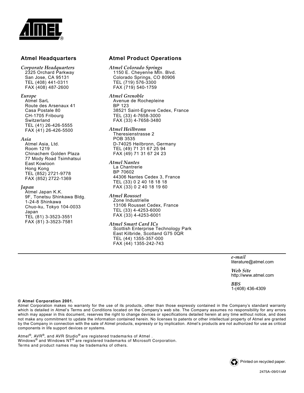

*Corporate Headquarters* 2325 Orchard Parkway San Jose, CA 95131 TEL (408) 441-0311 FAX (408) 487-2600

#### *Europe*

Atmel SarL Route des Arsenaux 41 Casa Postale 80 CH-1705 Fribourg Switzerland TEL (41) 26-426-5555 FAX (41) 26-426-5500

#### *Asia*

Atmel Asia, Ltd. Room 1219 Chinachem Golden Plaza 77 Mody Road Tsimhatsui East Kowloon Hong Kong TEL (852) 2721-9778 FAX (852) 2722-1369

#### *Japan*

Atmel Japan K.K. 9F, Tonetsu Shinkawa Bldg. 1-24-8 Shinkawa Chuo-ku, Tokyo 104-0033 Japan TEL (81) 3-3523-3551 FAX (81) 3-3523-7581

#### Atmel Headquarters **Atmel Product Operations**

*Atmel Colorado Springs* 1150 E. Cheyenne Mtn. Blvd. Colorado Springs, CO 80906 TEL (719) 576-3300 FAX (719) 540-1759

#### *Atmel Grenoble*

Avenue de Rochepleine BP 123 38521 Saint-Egreve Cedex, France TEL (33) 4-7658-3000 FAX (33) 4-7658-3480

#### *Atmel Heilbronn*

Theresienstrasse 2 POB 3535 D-74025 Heilbronn, Germany TEL (49) 71 31 67 25 94 FAX (49) 71 31 67 24 23

#### *Atmel Nantes*

La Chantrerie BP 70602 44306 Nantes Cedex 3, France TEL (33) 0 2 40 18 18 18 FAX (33) 0 2 40 18 19 60

#### *Atmel Rousset*

Zone Industrielle 13106 Rousset Cedex, France TEL (33) 4-4253-6000 FAX (33) 4-4253-6001

#### *Atmel Smart Card ICs*

Scottish Enterprise Technology Park East Kilbride, Scotland G75 0QR TEL (44) 1355-357-000 FAX (44) 1355-242-743

> *e-mail* literature@atmel.com

> *Web Site* http://www.atmel.com

*BBS* 1-(408) 436-4309

#### **© Atmel Corporation 2001.**

Atmel Corporation makes no warranty for the use of its products, other than those expressly contained in the Company's standard warranty which is detailed in Atmel's Terms and Conditions located on the Company's web site. The Company assumes no responsibility for any errors which may appear in this document, reserves the right to change devices or specifications detailed herein at any time without notice, and does not make any commitment to update the information contained herein. No licenses to patents or other intellectual property of Atmel are granted by the Company in connection with the sale of Atmel products, expressly or by implication. Atmel's products are not authorized for use as critical components in life support devices or systems.

Atmel®, AVR®, and AVR Studio® are registered trademarks of Atmel . Windows® and Windows NT® are registered trademarks of Microsoft Corporation. Terms and product names may be trademarks of others.